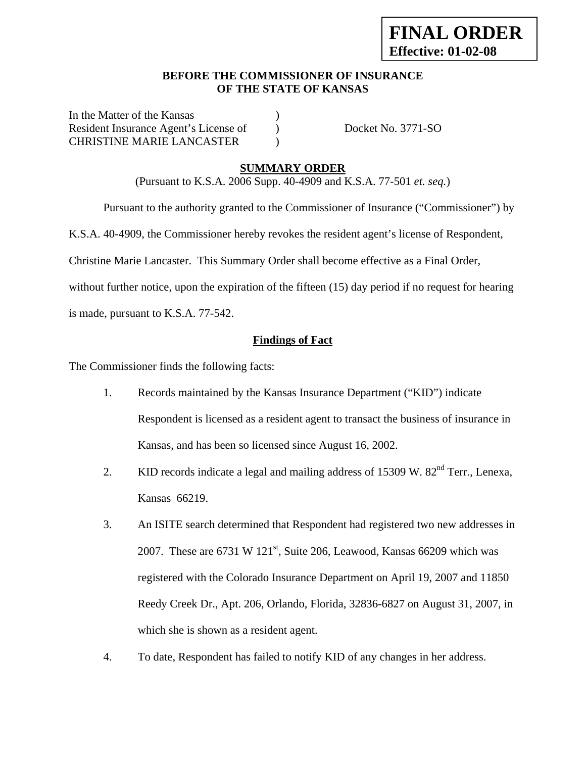### **BEFORE THE COMMISSIONER OF INSURANCE OF THE STATE OF KANSAS**

In the Matter of the Kansas (1) Resident Insurance Agent's License of Docket No. 3771-SO CHRISTINE MARIE LANCASTER )

## **SUMMARY ORDER**

(Pursuant to K.S.A. 2006 Supp. 40-4909 and K.S.A. 77-501 *et. seq.*)

Pursuant to the authority granted to the Commissioner of Insurance ("Commissioner") by

K.S.A. 40-4909, the Commissioner hereby revokes the resident agent's license of Respondent,

Christine Marie Lancaster. This Summary Order shall become effective as a Final Order,

without further notice, upon the expiration of the fifteen (15) day period if no request for hearing

is made, pursuant to K.S.A. 77-542.

## **Findings of Fact**

The Commissioner finds the following facts:

- 1. Records maintained by the Kansas Insurance Department ("KID") indicate Respondent is licensed as a resident agent to transact the business of insurance in Kansas, and has been so licensed since August 16, 2002.
- 2. KID records indicate a legal and mailing address of 15309 W. 82<sup>nd</sup> Terr., Lenexa, Kansas 66219.
- 3. An ISITE search determined that Respondent had registered two new addresses in 2007. These are  $6731 \text{ W } 121^{\text{st}}$ , Suite 206, Leawood, Kansas 66209 which was registered with the Colorado Insurance Department on April 19, 2007 and 11850 Reedy Creek Dr., Apt. 206, Orlando, Florida, 32836-6827 on August 31, 2007, in which she is shown as a resident agent.
- 4. To date, Respondent has failed to notify KID of any changes in her address.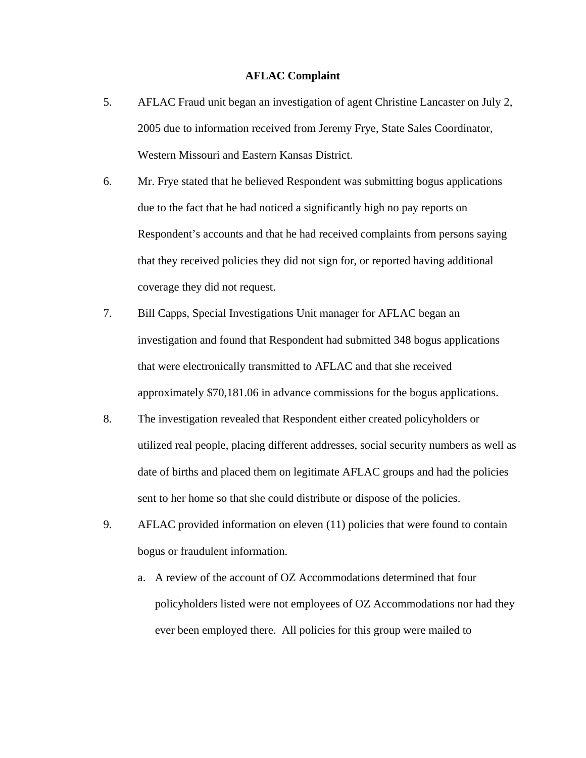#### **AFLAC Complaint**

- 5. AFLAC Fraud unit began an investigation of agent Christine Lancaster on July 2, 2005 due to information received from Jeremy Frye, State Sales Coordinator, Western Missouri and Eastern Kansas District.
- 6. Mr. Frye stated that he believed Respondent was submitting bogus applications due to the fact that he had noticed a significantly high no pay reports on Respondent's accounts and that he had received complaints from persons saying that they received policies they did not sign for, or reported having additional coverage they did not request.
- 7. Bill Capps, Special Investigations Unit manager for AFLAC began an investigation and found that Respondent had submitted 348 bogus applications that were electronically transmitted to AFLAC and that she received approximately \$70,181.06 in advance commissions for the bogus applications.
- 8. The investigation revealed that Respondent either created policyholders or utilized real people, placing different addresses, social security numbers as well as date of births and placed them on legitimate AFLAC groups and had the policies sent to her home so that she could distribute or dispose of the policies.
- 9. AFLAC provided information on eleven (11) policies that were found to contain bogus or fraudulent information.
	- a. A review of the account of OZ Accommodations determined that four policyholders listed were not employees of OZ Accommodations nor had they ever been employed there. All policies for this group were mailed to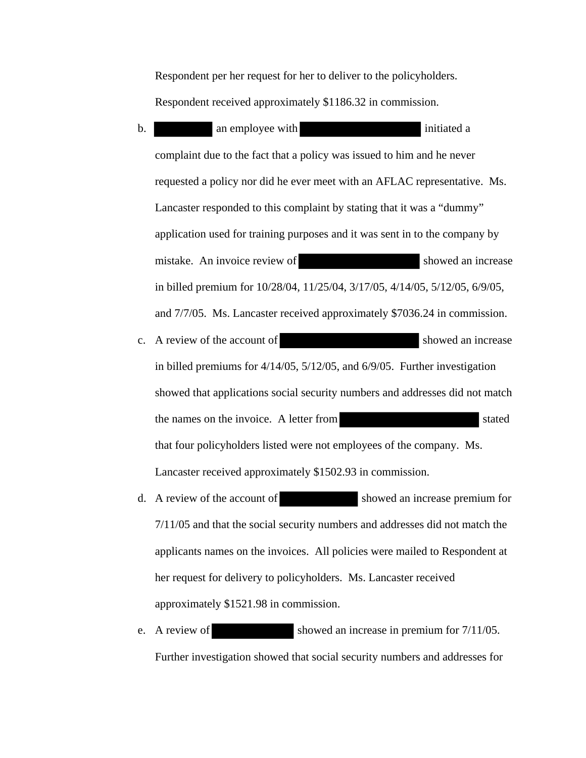Respondent per her request for her to deliver to the policyholders.

Respondent received approximately \$1186.32 in commission.

- b. an employee with initiated a initiated a complaint due to the fact that a policy was issued to him and he never requested a policy nor did he ever meet with an AFLAC representative. Ms. Lancaster responded to this complaint by stating that it was a "dummy" application used for training purposes and it was sent in to the company by mistake. An invoice review of showed an increase in billed premium for 10/28/04, 11/25/04, 3/17/05, 4/14/05, 5/12/05, 6/9/05, and 7/7/05. Ms. Lancaster received approximately \$7036.24 in commission.
- c. A review of the account of showed an increase in billed premiums for 4/14/05, 5/12/05, and 6/9/05. Further investigation showed that applications social security numbers and addresses did not match the names on the invoice. A letter from stated that four policyholders listed were not employees of the company. Ms. Lancaster received approximately \$1502.93 in commission.
- d. A review of the account of showed an increase premium for 7/11/05 and that the social security numbers and addresses did not match the applicants names on the invoices. All policies were mailed to Respondent at her request for delivery to policyholders. Ms. Lancaster received approximately \$1521.98 in commission.
- e. A review of showed an increase in premium for  $7/11/05$ . Further investigation showed that social security numbers and addresses for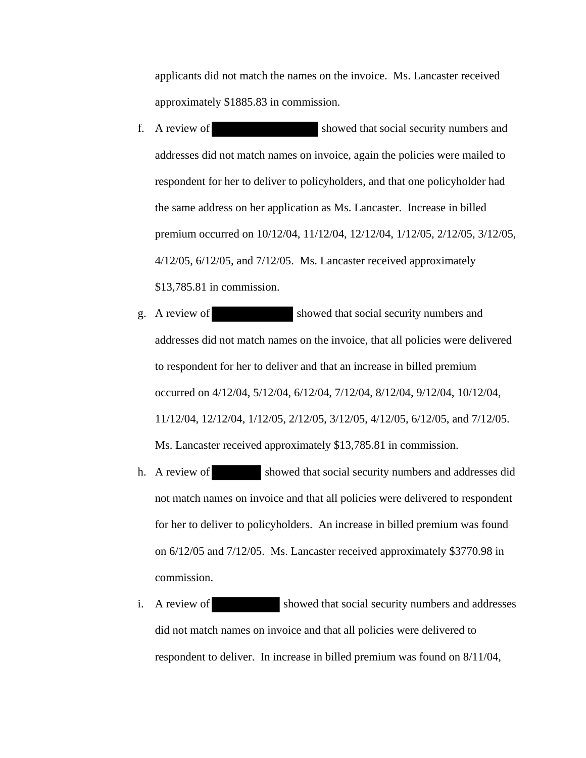applicants did not match the names on the invoice. Ms. Lancaster received approximately \$1885.83 in commission.

- f. A review of showed that social security numbers and addresses did not match names on invoice, again the policies were mailed to respondent for her to deliver to policyholders, and that one policyholder had the same address on her application as Ms. Lancaster. Increase in billed premium occurred on 10/12/04, 11/12/04, 12/12/04, 1/12/05, 2/12/05, 3/12/05, 4/12/05, 6/12/05, and 7/12/05. Ms. Lancaster received approximately \$13,785.81 in commission.
- g. A review of showed that social security numbers and addresses did not match names on the invoice, that all policies were delivered to respondent for her to deliver and that an increase in billed premium occurred on 4/12/04, 5/12/04, 6/12/04, 7/12/04, 8/12/04, 9/12/04, 10/12/04, 11/12/04, 12/12/04, 1/12/05, 2/12/05, 3/12/05, 4/12/05, 6/12/05, and 7/12/05. Ms. Lancaster received approximately \$13,785.81 in commission.
- h. A review of showed that social security numbers and addresses did not match names on invoice and that all policies were delivered to respondent for her to deliver to policyholders. An increase in billed premium was found on 6/12/05 and 7/12/05. Ms. Lancaster received approximately \$3770.98 in commission.
- i. A review of showed that social security numbers and addresses did not match names on invoice and that all policies were delivered to respondent to deliver. In increase in billed premium was found on 8/11/04,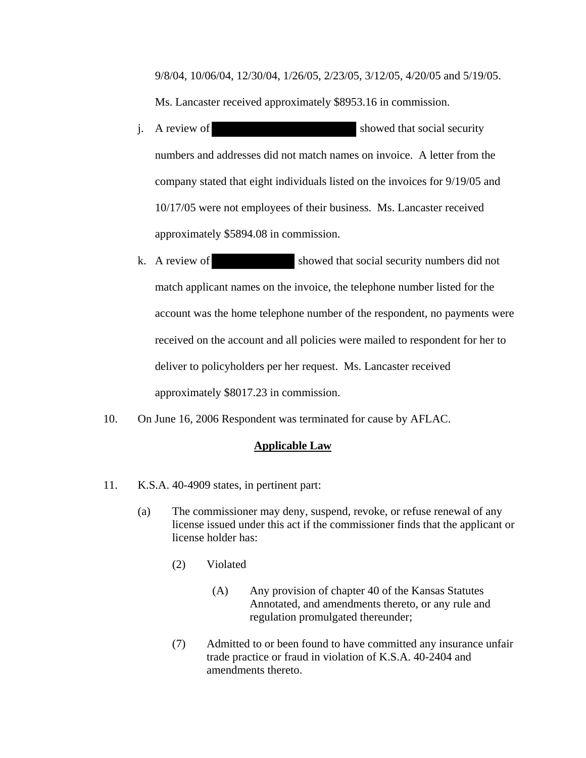9/8/04, 10/06/04, 12/30/04, 1/26/05, 2/23/05, 3/12/05, 4/20/05 and 5/19/05. Ms. Lancaster received approximately \$8953.16 in commission.

- j. A review of showed that social security numbers and addresses did not match names on invoice. A letter from the company stated that eight individuals listed on the invoices for 9/19/05 and 10/17/05 were not employees of their business. Ms. Lancaster received approximately \$5894.08 in commission.
- k. A review of showed that social security numbers did not match applicant names on the invoice, the telephone number listed for the account was the home telephone number of the respondent, no payments were received on the account and all policies were mailed to respondent for her to deliver to policyholders per her request. Ms. Lancaster received approximately \$8017.23 in commission.
- 10. On June 16, 2006 Respondent was terminated for cause by AFLAC.

#### **Applicable Law**

- 11. K.S.A. 40-4909 states, in pertinent part:
	- (a) The commissioner may deny, suspend, revoke, or refuse renewal of any license issued under this act if the commissioner finds that the applicant or license holder has:
		- (2) Violated
			- (A) Any provision of chapter 40 of the Kansas Statutes Annotated, and amendments thereto, or any rule and regulation promulgated thereunder;
		- (7) Admitted to or been found to have committed any insurance unfair trade practice or fraud in violation of K.S.A. 40-2404 and amendments thereto.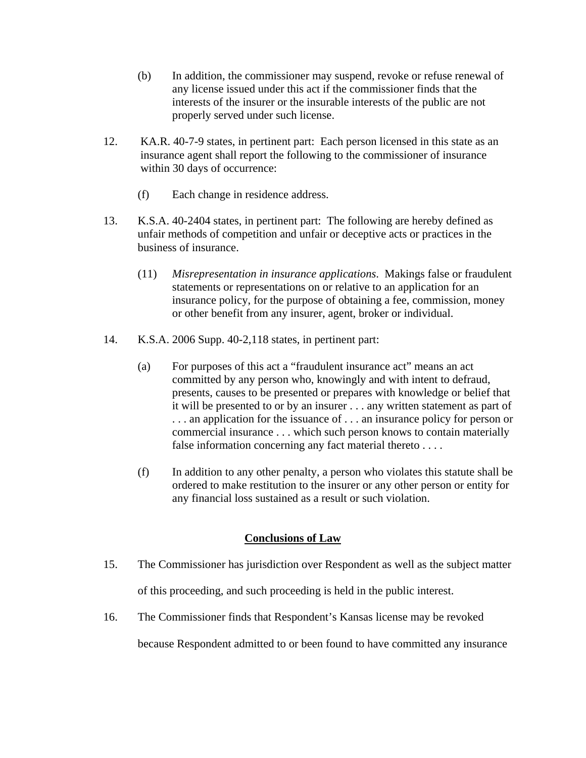- (b) In addition, the commissioner may suspend, revoke or refuse renewal of any license issued under this act if the commissioner finds that the interests of the insurer or the insurable interests of the public are not properly served under such license.
- 12. KA.R. 40-7-9 states, in pertinent part: Each person licensed in this state as an insurance agent shall report the following to the commissioner of insurance within 30 days of occurrence:
	- (f) Each change in residence address.
- 13. K.S.A. 40-2404 states, in pertinent part: The following are hereby defined as unfair methods of competition and unfair or deceptive acts or practices in the business of insurance.
	- (11) *Misrepresentation in insurance applications*. Makings false or fraudulent statements or representations on or relative to an application for an insurance policy, for the purpose of obtaining a fee, commission, money or other benefit from any insurer, agent, broker or individual.
- 14. K.S.A. 2006 Supp. 40-2,118 states, in pertinent part:
	- (a) For purposes of this act a "fraudulent insurance act" means an act committed by any person who, knowingly and with intent to defraud, presents, causes to be presented or prepares with knowledge or belief that it will be presented to or by an insurer . . . any written statement as part of ... an application for the issuance of ... an insurance policy for person or commercial insurance . . . which such person knows to contain materially false information concerning any fact material thereto . . . .
	- (f) In addition to any other penalty, a person who violates this statute shall be ordered to make restitution to the insurer or any other person or entity for any financial loss sustained as a result or such violation.

## **Conclusions of Law**

- 15. The Commissioner has jurisdiction over Respondent as well as the subject matter of this proceeding, and such proceeding is held in the public interest.
- 16. The Commissioner finds that Respondent's Kansas license may be revoked

because Respondent admitted to or been found to have committed any insurance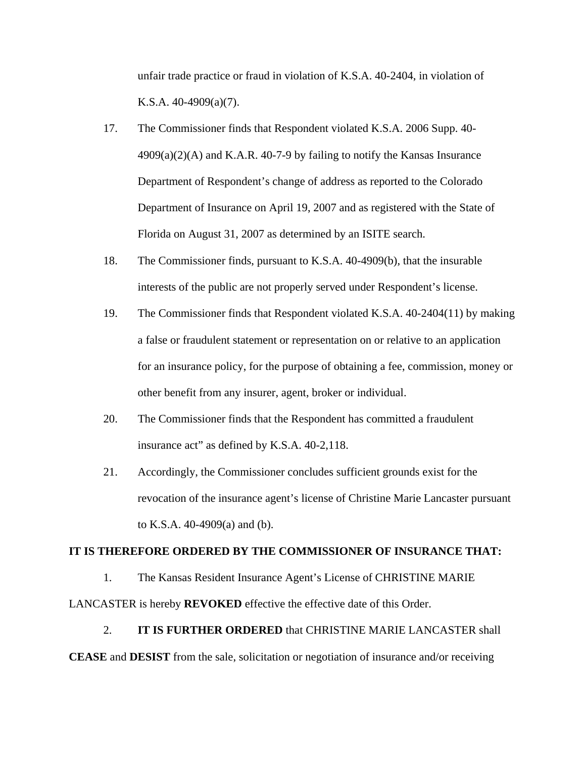unfair trade practice or fraud in violation of K.S.A. 40-2404, in violation of K.S.A. 40-4909(a)(7).

- 17. The Commissioner finds that Respondent violated K.S.A. 2006 Supp. 40-  $4909(a)(2)$ (A) and K.A.R. 40-7-9 by failing to notify the Kansas Insurance Department of Respondent's change of address as reported to the Colorado Department of Insurance on April 19, 2007 and as registered with the State of Florida on August 31, 2007 as determined by an ISITE search.
- 18. The Commissioner finds, pursuant to K.S.A. 40-4909(b), that the insurable interests of the public are not properly served under Respondent's license.
- 19. The Commissioner finds that Respondent violated K.S.A. 40-2404(11) by making a false or fraudulent statement or representation on or relative to an application for an insurance policy, for the purpose of obtaining a fee, commission, money or other benefit from any insurer, agent, broker or individual.
- 20. The Commissioner finds that the Respondent has committed a fraudulent insurance act" as defined by K.S.A. 40-2,118.
- 21. Accordingly, the Commissioner concludes sufficient grounds exist for the revocation of the insurance agent's license of Christine Marie Lancaster pursuant to K.S.A. 40-4909(a) and (b).

#### **IT IS THEREFORE ORDERED BY THE COMMISSIONER OF INSURANCE THAT:**

1. The Kansas Resident Insurance Agent's License of CHRISTINE MARIE

LANCASTER is hereby **REVOKED** effective the effective date of this Order.

# 2. **IT IS FURTHER ORDERED** that CHRISTINE MARIE LANCASTER shall

**CEASE** and **DESIST** from the sale, solicitation or negotiation of insurance and/or receiving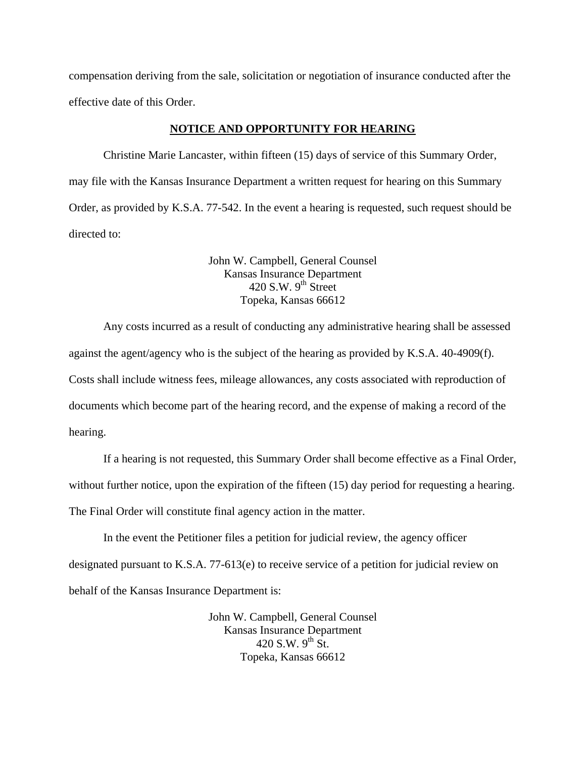compensation deriving from the sale, solicitation or negotiation of insurance conducted after the effective date of this Order.

#### **NOTICE AND OPPORTUNITY FOR HEARING**

Christine Marie Lancaster, within fifteen (15) days of service of this Summary Order, may file with the Kansas Insurance Department a written request for hearing on this Summary Order, as provided by K.S.A. 77-542. In the event a hearing is requested, such request should be directed to:

> John W. Campbell, General Counsel Kansas Insurance Department  $420$  S.W. 9<sup>th</sup> Street Topeka, Kansas 66612

Any costs incurred as a result of conducting any administrative hearing shall be assessed against the agent/agency who is the subject of the hearing as provided by K.S.A. 40-4909(f). Costs shall include witness fees, mileage allowances, any costs associated with reproduction of documents which become part of the hearing record, and the expense of making a record of the hearing.

If a hearing is not requested, this Summary Order shall become effective as a Final Order, without further notice, upon the expiration of the fifteen (15) day period for requesting a hearing. The Final Order will constitute final agency action in the matter.

In the event the Petitioner files a petition for judicial review, the agency officer designated pursuant to K.S.A. 77-613(e) to receive service of a petition for judicial review on behalf of the Kansas Insurance Department is:

> John W. Campbell, General Counsel Kansas Insurance Department 420 S.W.  $9^{th}$  St. Topeka, Kansas 66612